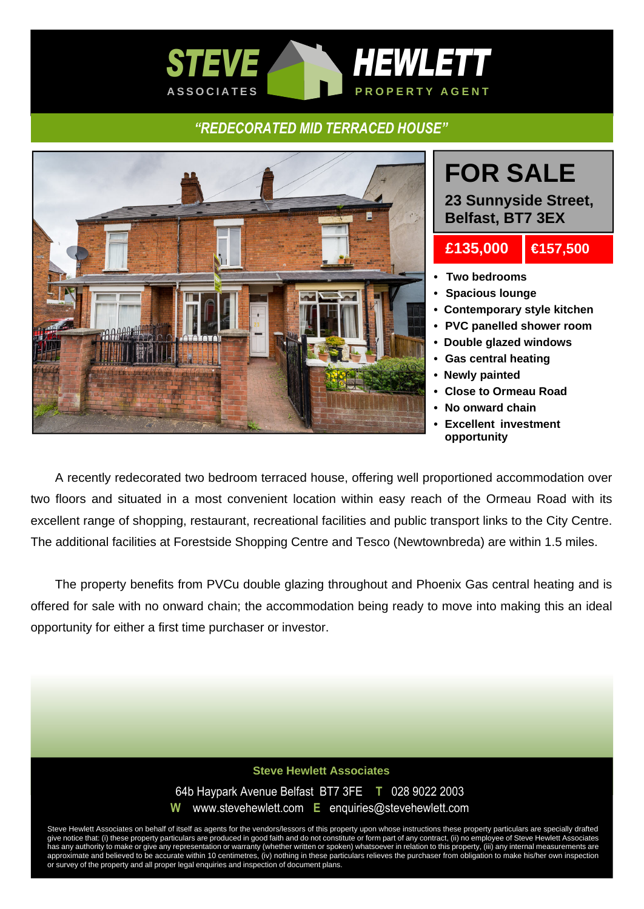## *STEVE HEWLETT* A S S O CIATES **A S REAL PROPERTY AGENT**

### *"REDECORATED MID TERRACED HOUSE"*



# **FOR SALE**

**23 Sunnyside Street, Belfast, BT7 3EX**

## **£135,000 €157,500**

- 
- **Two bedrooms**
- **Spacious lounge**
- **Contemporary style kitchen**
- **PVC panelled shower room**
- **Double glazed windows**
- **Gas central heating**
- **Newly painted**
- **Close to Ormeau Road**
- **No onward chain**
- **Excellent investment opportunity**

A recently redecorated two bedroom terraced house, offering well proportioned accommodation over two floors and situated in a most convenient location within easy reach of the Ormeau Road with its excellent range of shopping, restaurant, recreational facilities and public transport links to the City Centre. The additional facilities at Forestside Shopping Centre and Tesco (Newtownbreda) are within 1.5 miles.

 The property benefits from PVCu double glazing throughout and Phoenix Gas central heating and is offered for sale with no onward chain; the accommodation being ready to move into making this an ideal opportunity for either a first time purchaser or investor.

#### **Steve Hewlett Associates**

64b Haypark Avenue Belfast BT7 3FE **T** 028 9022 2003

**W** www.stevehewlett.com **E** enquiries@stevehewlett.com

Steve Hewlett Associates on behalf of itself as agents for the vendors/lessors of this property upon whose instructions these property particulars are specially drafted give notice that: (i) these property particulars are produced in good faith and do not constitute or form part of any contract, (ii) no employee of Steve Hewlett Associates has any authority to make or give any representation or warranty (whether written or spoken) whatsoever in relation to this property, (iii) any internal measurements are approximate and believed to be accurate within 10 centimetres, (iv) nothing in these particulars relieves the purchaser from obligation to make his/her own inspection or survey of the property and all proper legal enquiries and inspection of document plans.